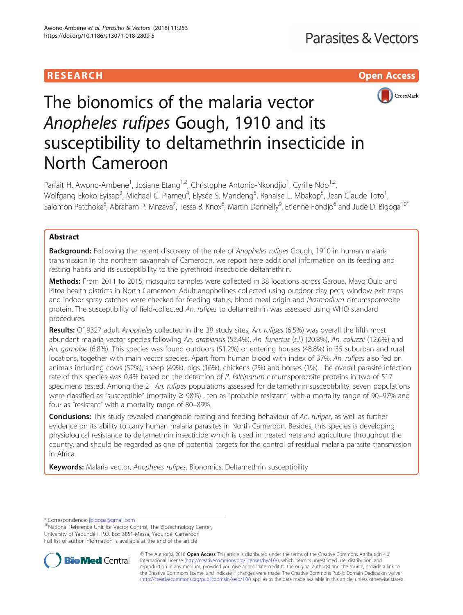# RESEARCH **RESEARCH CHOOSE ACCESS**



# The bionomics of the malaria vector Anopheles rufipes Gough, 1910 and its susceptibility to deltamethrin insecticide in North Cameroon

Parfait H. Awono-Ambene<sup>1</sup>, Josiane Etang<sup>1,2</sup>, Christophe Antonio-Nkondjio<sup>1</sup>, Cyrille Ndo<sup>1,2</sup>, Wolfgang Ekoko Eyisap<sup>3</sup>, Michael C. Piameu<sup>4</sup>, Elysée S. Mandeng<sup>5</sup>, Ranaise L. Mbakop<sup>5</sup>, Jean Claude Toto<sup>1</sup> , Salomon Patchoke<sup>6</sup>, Abraham P. Mnzava<sup>7</sup>, Tessa B. Knox<sup>8</sup>, Martin Donnelly<sup>9</sup>, Etienne Fondjo<sup>6</sup> and Jude D. Bigoga<sup>10\*</sup>

## Abstract

Background: Following the recent discovery of the role of Anopheles rufipes Gough, 1910 in human malaria transmission in the northern savannah of Cameroon, we report here additional information on its feeding and resting habits and its susceptibility to the pyrethroid insecticide deltamethrin.

Methods: From 2011 to 2015, mosquito samples were collected in 38 locations across Garoua, Mayo Oulo and Pitoa health districts in North Cameroon. Adult anophelines collected using outdoor clay pots, window exit traps and indoor spray catches were checked for feeding status, blood meal origin and Plasmodium circumsporozoite protein. The susceptibility of field-collected An. rufipes to deltamethrin was assessed using WHO standard procedures.

Results: Of 9327 adult Anopheles collected in the 38 study sites, An. rufipes (6.5%) was overall the fifth most abundant malaria vector species following An. arabiensis (52.4%), An. funestus (s.l.) (20.8%), An. coluzzii (12.6%) and An. gambiae (6.8%). This species was found outdoors (51.2%) or entering houses (48.8%) in 35 suburban and rural locations, together with main vector species. Apart from human blood with index of 37%, An. rufipes also fed on animals including cows (52%), sheep (49%), pigs (16%), chickens (2%) and horses (1%). The overall parasite infection rate of this species was 0.4% based on the detection of P. falciparum circumsporozoite proteins in two of 517 specimens tested. Among the 21 An. rufipes populations assessed for deltamethrin susceptibility, seven populations were classified as "susceptible" (mortality ≥ 98%) , ten as "probable resistant" with a mortality range of 90–97% and four as "resistant" with a mortality range of 80–89%.

Conclusions: This study revealed changeable resting and feeding behaviour of An. rufipes, as well as further evidence on its ability to carry human malaria parasites in North Cameroon. Besides, this species is developing physiological resistance to deltamethrin insecticide which is used in treated nets and agriculture throughout the country, and should be regarded as one of potential targets for the control of residual malaria parasite transmission in Africa.

Keywords: Malaria vector, Anopheles rufipes, Bionomics, Deltamethrin susceptibility

\* Correspondence: [jbigoga@gmail.com](mailto:jbigoga@gmail.com)<br><sup>10</sup>National Reference Unit for Vector Control, The Biotechnology Center, University of Yaoundé I, P.O. Box 3851-Messa, Yaoundé, Cameroon Full list of author information is available at the end of the article



© The Author(s). 2018 Open Access This article is distributed under the terms of the Creative Commons Attribution 4.0 International License [\(http://creativecommons.org/licenses/by/4.0/](http://creativecommons.org/licenses/by/4.0/)), which permits unrestricted use, distribution, and reproduction in any medium, provided you give appropriate credit to the original author(s) and the source, provide a link to the Creative Commons license, and indicate if changes were made. The Creative Commons Public Domain Dedication waiver [\(http://creativecommons.org/publicdomain/zero/1.0/](http://creativecommons.org/publicdomain/zero/1.0/)) applies to the data made available in this article, unless otherwise stated.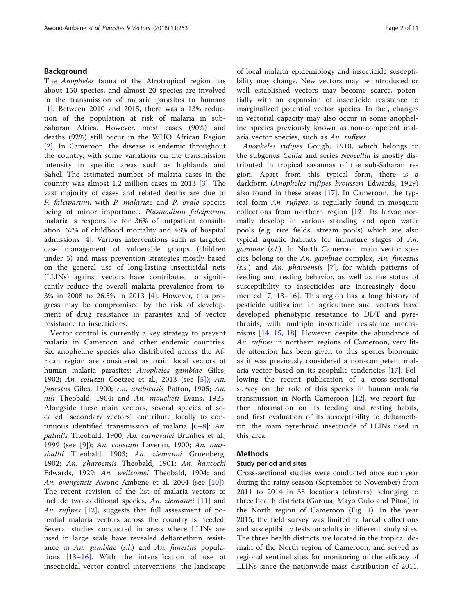## Background

The Anopheles fauna of the Afrotropical region has about 150 species, and almost 20 species are involved in the transmission of malaria parasites to humans [[1\]](#page-9-0). Between 2010 and 2015, there was a 13% reduction of the population at risk of malaria in sub-Saharan Africa. However, most cases (90%) and deaths (92%) still occur in the WHO African Region [[2\]](#page-9-0). In Cameroon, the disease is endemic throughout the country, with some variations on the transmission intensity in specific areas such as highlands and Sahel. The estimated number of malaria cases in the country was almost 1.2 million cases in 2013 [[3\]](#page-9-0). The vast majority of cases and related deaths are due to P. falciparum, with P. malariae and P. ovale species being of minor importance. Plasmodium falciparum malaria is responsible for 36% of outpatient consultation, 67% of childhood mortality and 48% of hospital admissions [[4](#page-9-0)]. Various interventions such as targeted case management of vulnerable groups (children under 5) and mass prevention strategies mostly based on the general use of long-lasting insecticidal nets (LLINs) against vectors have contributed to significantly reduce the overall malaria prevalence from 46. 3% in 2008 to 26.5% in 2013 [[4\]](#page-9-0). However, this progress may be compromised by the risk of development of drug resistance in parasites and of vector resistance to insecticides.

Vector control is currently a key strategy to prevent malaria in Cameroon and other endemic countries. Six anopheline species also distributed across the African region are considered as main local vectors of human malaria parasites: Anopheles gambiae Giles, 1902; An. coluzzii Coetzee et al., 2013 (see [\[5](#page-9-0)]); An. funestus Giles, 1900; An. arabiensis Patton, 1905; An. nili Theobald, 1904; and An. moucheti Evans, 1925. Alongside these main vectors, several species of socalled "secondary vectors" contribute locally to continuous identified transmission of malaria  $[6-8]$  $[6-8]$  $[6-8]$  $[6-8]$ : An. paludis Theobald, 1900; An. carnevalei Brunhes et al., 1999 (see [[9\]](#page-9-0)); An. coustani Laveran, 1900; An. marshallii Theobald, 1903; An. ziemanni Gruenberg, 1902; An. pharoensis Theobald, 1901; An. hancocki Edwards, 1929; An. wellcomei Theobald, 1904; and An. ovengensis Awono-Ambene et al. 2004 (see [[10\]](#page-9-0)). The recent revision of the list of malaria vectors to include two additional species, An. ziemanni [[11\]](#page-9-0) and An. rufipes [\[12](#page-9-0)], suggests that full assessment of potential malaria vectors across the country is needed. Several studies conducted in areas where LLINs are used in large scale have revealed deltamethrin resistance in An. gambiae (s.l.) and An. funestus populations [\[13](#page-9-0)–[16](#page-9-0)]. With the intensification of use of insecticidal vector control interventions, the landscape of local malaria epidemiology and insecticide susceptibility may change. New vectors may be introduced or well established vectors may become scarce, potentially with an expansion of insecticide resistance to marginalized potential vector species. In fact, changes in vectorial capacity may also occur in some anopheline species previously known as non-competent malaria vector species, such as An. rufipes.

Anopheles rufipes Gough, 1910, which belongs to the subgenus Cellia and series Neocellia is mostly distributed in tropical savannas of the sub-Saharan region. Apart from this typical form, there is a darkform (Anopheles rufipes brousseri Edwards, 1929) also found in these areas  $[17]$  $[17]$ . In Cameroon, the typical form An. rufipes, is regularly found in mosquito collections from northern region [\[12](#page-9-0)]. Its larvae normally develop in various standing and open water pools (e.g. rice fields, stream pools) which are also typical aquatic habitats for immature stages of An. gambiae (s.l.). In North Cameroon, main vector species belong to the An. gambiae complex, An. funestus  $(s.s.)$  and An. *pharoensis* [\[7](#page-9-0)], for which patterns of feeding and resting behavior, as well as the status of susceptibility to insecticides are increasingly documented [[7,](#page-9-0) [13](#page-9-0)–[16\]](#page-9-0). This region has a long history of pesticide utilization in agriculture and vectors have developed phenotypic resistance to DDT and pyrethroids, with multiple insecticide resistance mechanisms [\[14](#page-9-0), [15](#page-9-0), [18\]](#page-9-0). However, despite the abundance of An. rufipes in northern regions of Cameroon, very little attention has been given to this species bionomic as it was previously considered a non-competent malaria vector based on its zoophilic tendencies [[17\]](#page-9-0). Following the recent publication of a cross-sectional survey on the role of this species in human malaria transmission in North Cameroon  $[12]$  $[12]$ , we report further information on its feeding and resting habits, and first evaluation of its susceptibility to deltamethrin, the main pyrethroid insecticide of LLINs used in this area.

## Methods

## Study period and sites

Cross-sectional studies were conducted once each year during the rainy season (September to November) from 2011 to 2014 in 38 locations (clusters) belonging to three health districts (Garoua, Mayo Oulo and Pitoa) in the North region of Cameroon (Fig. [1](#page-2-0)). In the year 2015, the field survey was limited to larval collections and susceptibility tests on adults in different study sites. The three health districts are located in the tropical domain of the North region of Cameroon, and served as regional sentinel sites for monitoring of the efficacy of LLINs since the nationwide mass distribution of 2011.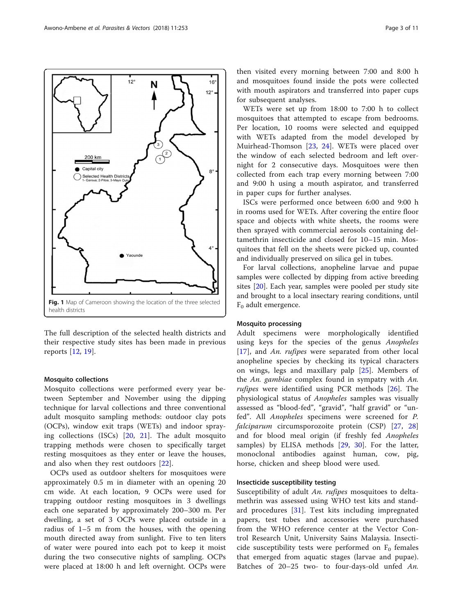<span id="page-2-0"></span>

The full description of the selected health districts and their respective study sites has been made in previous reports [[12,](#page-9-0) [19\]](#page-9-0).

#### Mosquito collections

Mosquito collections were performed every year between September and November using the dipping technique for larval collections and three conventional adult mosquito sampling methods: outdoor clay pots (OCPs), window exit traps (WETs) and indoor spraying collections (ISCs) [[20,](#page-9-0) [21\]](#page-9-0). The adult mosquito trapping methods were chosen to specifically target resting mosquitoes as they enter or leave the houses, and also when they rest outdoors [[22\]](#page-9-0).

OCPs used as outdoor shelters for mosquitoes were approximately 0.5 m in diameter with an opening 20 cm wide. At each location, 9 OCPs were used for trapping outdoor resting mosquitoes in 3 dwellings each one separated by approximately 200–300 m. Per dwelling, a set of 3 OCPs were placed outside in a radius of 1–5 m from the houses, with the opening mouth directed away from sunlight. Five to ten liters of water were poured into each pot to keep it moist during the two consecutive nights of sampling. OCPs were placed at 18:00 h and left overnight. OCPs were

then visited every morning between 7:00 and 8:00 h and mosquitoes found inside the pots were collected with mouth aspirators and transferred into paper cups for subsequent analyses.

WETs were set up from 18:00 to 7:00 h to collect mosquitoes that attempted to escape from bedrooms. Per location, 10 rooms were selected and equipped with WETs adapted from the model developed by Muirhead-Thomson [[23,](#page-9-0) [24\]](#page-9-0). WETs were placed over the window of each selected bedroom and left overnight for 2 consecutive days. Mosquitoes were then collected from each trap every morning between 7:00 and 9:00 h using a mouth aspirator, and transferred in paper cups for further analyses.

ISCs were performed once between 6:00 and 9:00 h in rooms used for WETs. After covering the entire floor space and objects with white sheets, the rooms were then sprayed with commercial aerosols containing deltamethrin insecticide and closed for 10–15 min. Mosquitoes that fell on the sheets were picked up, counted and individually preserved on silica gel in tubes.

For larval collections, anopheline larvae and pupae samples were collected by dipping from active breeding sites [\[20\]](#page-9-0). Each year, samples were pooled per study site and brought to a local insectary rearing conditions, until  $F_0$  adult emergence.

## Mosquito processing

Adult specimens were morphologically identified using keys for the species of the genus Anopheles [[17\]](#page-9-0), and An. rufipes were separated from other local anopheline species by checking its typical characters on wings, legs and maxillary palp [[25\]](#page-9-0). Members of the An. gambiae complex found in sympatry with An. rufipes were identified using PCR methods [[26\]](#page-9-0). The physiological status of Anopheles samples was visually assessed as "blood-fed", "gravid", "half gravid" or "unfed". All Anopheles specimens were screened for P. falciparum circumsporozoite protein (CSP) [[27,](#page-9-0) [28](#page-9-0)] and for blood meal origin (if freshly fed Anopheles samples) by ELISA methods [\[29](#page-9-0), [30](#page-9-0)]. For the latter, monoclonal antibodies against human, cow, pig, horse, chicken and sheep blood were used.

## Insecticide susceptibility testing

Susceptibility of adult An. rufipes mosquitoes to deltamethrin was assessed using WHO test kits and standard procedures [[31](#page-9-0)]. Test kits including impregnated papers, test tubes and accessories were purchased from the WHO reference center at the Vector Control Research Unit, University Sains Malaysia. Insecticide susceptibility tests were performed on  $F_0$  females that emerged from aquatic stages (larvae and pupae). Batches of 20–25 two- to four-days-old unfed An.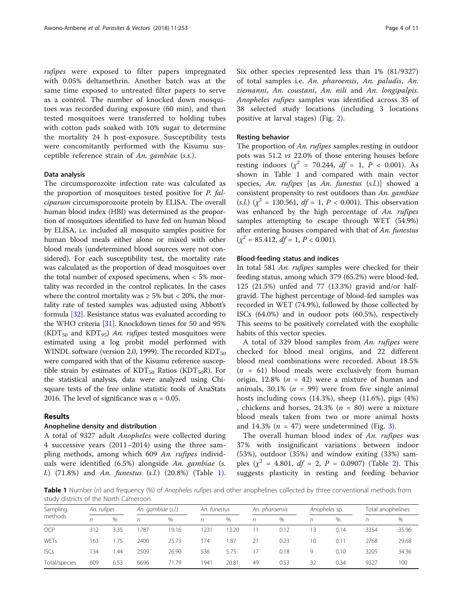rufipes were exposed to filter papers impregnated with 0.05% deltamethrin. Another batch was at the same time exposed to untreated filter papers to serve as a control. The number of knocked down mosquitoes was recorded during exposure (60 min), and then tested mosquitoes were transferred to holding tubes with cotton pads soaked with 10% sugar to determine the mortality 24 h post-exposure. Susceptibility tests were concomitantly performed with the Kisumu susceptible reference strain of An. gambiae (s.s.).

## Data analysis

The circumsporozoite infection rate was calculated as the proportion of mosquitoes tested positive for P. falciparum circumsporozoite protein by ELISA. The overall human blood index (HBI) was determined as the proportion of mosquitoes identified to have fed on human blood by ELISA, i.e. included all mosquito samples positive for human blood meals either alone or mixed with other blood meals (undetermined blood sources were not considered). For each susceptibility test, the mortality rate was calculated as the proportion of dead mosquitoes over the total number of exposed specimens, when < 5% mortality was recorded in the control replicates. In the cases where the control mortality was  $\geq 5\%$  but < 20%, the mortality rate of tested samples was adjusted using Abbott's formula [\[32\]](#page-9-0). Resistance status was evaluated according to the WHO criteria [[31](#page-9-0)]. Knockdown times for 50 and 95% (KDT<sub>50</sub> and KDT<sub>95</sub>) An. rufipes tested mosquitoes were estimated using a log probit model performed with WINDL software (version 2.0, 1999). The recorded  $KDT_{50}$ were compared with that of the Kisumu reference susceptible strain by estimates of  $KDT_{50}$  Ratios ( $KDT_{50}R$ ). For the statistical analysis, data were analyzed using Chisquare tests of the free online statistic tools of AnaStats 2016. The level of significance was  $\alpha$  = 0.05.

## Results

#### Anopheline density and distribution

A total of 9327 adult Anopheles were collected during 4 successive years (2011–2014) using the three sampling methods, among which 609 An. rufipes individuals were identified (6.5%) alongside An. gambiae (s. *l.*)  $(71.8\%)$  and An. funestus  $(s.l.)$   $(20.8\%)$  (Table 1). Six other species represented less than 1% (81/9327) of total samples i.e. An. pharoensis, An. paludis, An. ziemanni, An. coustani, An. nili and An. longipalpis. Anopheles rufipes samples was identified across 35 of 38 selected study locations (including 3 locations positive at larval stages) (Fig. [2](#page-4-0)).

## Resting behavior

The proportion of An. rufipes samples resting in outdoor pots was 51.2 vs 22.0% of those entering houses before resting indoors ( $\chi^2$  = 70.244,  $df$  = 1, P < 0.001). As shown in Table 1 and compared with main vector species, An. rufipes [as An. funestus (s.l.)] showed a consistent propensity to rest outdoors than An. gambiae (s.l.)  $(x^2 = 130.561, df = 1, P < 0.001)$ . This observation was enhanced by the high percentage of An. rufipes samples attempting to escape through WET (54.9%) after entering houses compared with that of An. funestus  $(\chi^2 = 85.412, df = 1, P < 0.001).$ 

## Blood-feeding status and indices

In total 581 An. rufipes samples were checked for their feeding status, among which 379 (65.2%) were blood-fed, 125 (21.5%) unfed and 77 (13.3%) gravid and/or halfgravid. The highest percentage of blood-fed samples was recorded in WET (74.9%), followed by those collected by ISCs (64.0%) and in oudoor pots (60.5%), respectively This seems to be positively correlated with the exophilic habits of this vector species.

A total of 329 blood samples from An. rufipes were checked for blood meal origins, and 22 different blood meal combinations were recorded. About 18.5%  $(n = 61)$  blood meals were exclusively from human origin, 12.8% ( $n = 42$ ) were a mixture of human and animals, 30.1% ( $n = 99$ ) were from five single animal hosts including cows (14.3%), sheep (11.6%), pigs (4%) , chickens and horses, 24.3% ( $n = 80$ ) were a mixture blood meals taken from two or more animal hosts and 14.3% ( $n = 47$ ) were undetermined (Fig. [3\)](#page-5-0).

The overall human blood index of An. rufipes was 37% with insignificant variations between indoor (53%), outdoor (35%) and window exiting (33%) samples  $(\chi^2 = 4.801, df = 2, P = 0.0907)$  (Table [2\)](#page-6-0). This suggests plasticity in resting and feeding behavior

Table 1 Number (n) and frequency (%) of Anopheles rufipes and other anophelines collected by three conventional methods from study districts of the North Cameroon

| Sampling<br>methods | An. rufipes |      | An. gambiae (s.l.) |       | An. funestus |       | An. pharoensis |      | Anopheles sp. |               | Total anophelines |       |
|---------------------|-------------|------|--------------------|-------|--------------|-------|----------------|------|---------------|---------------|-------------------|-------|
|                     |             | %    | n                  | $\%$  | n            | $\%$  | n              | %    | n             | $\%$          | n                 | $\%$  |
| <b>OCP</b>          | 312         | 3.35 | 1787               | 19.16 | 1231         | 13.20 |                | 0.12 | 3             | 0.14          | 3354              | 35.96 |
| WETs                | 163         | 1.75 | 2400               | 25.73 | 174          | 1.87  | 21             | 0.23 | 10            | $0.1^{\circ}$ | 2768              | 29.68 |
| <b>ISCs</b>         | 134         | l 44 | 2509               | 26.90 | 536          | 5.75  | 17             | 0.18 | 9             | 0.10          | 3205              | 34.36 |
| Total/species       | 609         | 6.53 | 6696               | 71.79 | 1941         | 20.81 | 49             | 0.53 | 32            | 0.34          | 9327              | 100   |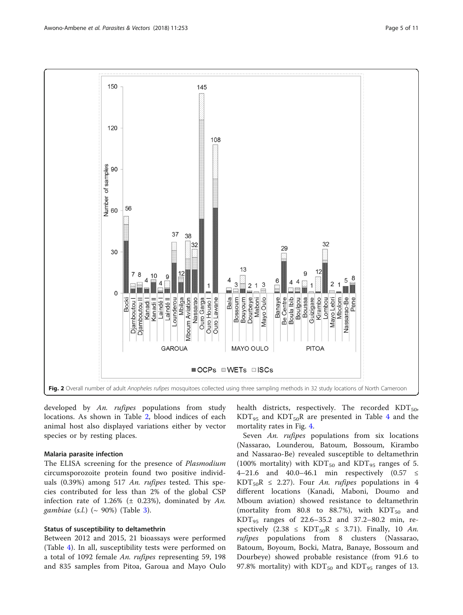<span id="page-4-0"></span>

developed by An. rufipes populations from study locations. As shown in Table [2,](#page-6-0) blood indices of each animal host also displayed variations either by vector species or by resting places.

## Malaria parasite infection

The ELISA screening for the presence of *Plasmodium* circumsporozoite protein found two positive individuals (0.39%) among 517 An. rufipes tested. This species contributed for less than 2% of the global CSP infection rate of 1.26% ( $\pm$  0.23%), dominated by An. *gambiae* (*s.l.*) (~ 90%) (Table [3](#page-6-0)).

## Status of susceptibility to deltamethrin

Between 2012 and 2015, 21 bioassays were performed (Table [4](#page-7-0)). In all, susceptibility tests were performed on a total of 1092 female An. rufipes representing 59, 198 and 835 samples from Pitoa, Garoua and Mayo Oulo health districts, respectively. The recorded  $KDT_{50}$ ,  $KDT_{95}$  and  $KDT_{50}R$  are presented in Table [4](#page-7-0) and the mortality rates in Fig. [4](#page-8-0).

Seven An. rufipes populations from six locations (Nassarao, Lounderou, Batoum, Bossoum, Kirambo and Nassarao-Be) revealed susceptible to deltamethrin (100% mortality) with  $KDT_{50}$  and  $KDT_{95}$  ranges of 5. 4–21.6 and 40.0–46.1 min respectively  $(0.57 \le$ KDT<sub>50</sub>R  $\leq$  2.27). Four An. rufipes populations in 4 different locations (Kanadi, Maboni, Doumo and Mboum aviation) showed resistance to deltamethrin (mortality from 80.8 to 88.7%), with  $KDT_{50}$  and  $KDT_{95}$  ranges of 22.6–35.2 and 37.2–80.2 min, respectively  $(2.38 \leq KDT_{50}R \leq 3.71)$ . Finally, 10 An. rufipes populations from 8 clusters (Nassarao, Batoum, Boyoum, Bocki, Matra, Banaye, Bossoum and Dourbeye) showed probable resistance (from 91.6 to 97.8% mortality) with  $KDT_{50}$  and  $KDT_{95}$  ranges of 13.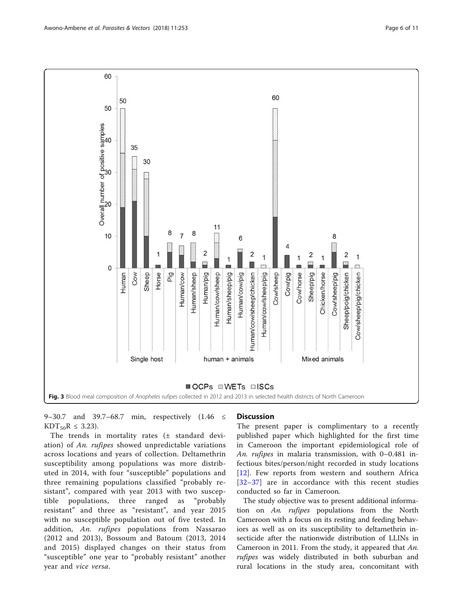<span id="page-5-0"></span>

9–30.7 and 39.7–68.7 min, respectively (1.46 ≤  $KDT_{50}R \leq 3.23$ ).

The trends in mortality rates (± standard deviation) of An. rufipes showed unpredictable variations across locations and years of collection. Deltamethrin susceptibility among populations was more distributed in 2014, with four "susceptible" populations and three remaining populations classified "probably resistant", compared with year 2013 with two susceptible populations, three ranged as "probably resistant" and three as "resistant", and year 2015 with no susceptible population out of five tested. In addition, An. rufipes populations from Nassarao (2012 and 2013), Bossoum and Batoum (2013, 2014 and 2015) displayed changes on their status from "susceptible" one year to "probably resistant" another year and vice versa.

## **Discussion**

The present paper is complimentary to a recently published paper which highlighted for the first time in Cameroon the important epidemiological role of An. rufipes in malaria transmission, with 0–0.481 infectious bites/person/night recorded in study locations [[12\]](#page-9-0). Few reports from western and southern Africa [[32](#page-9-0)–[37\]](#page-9-0) are in accordance with this recent studies conducted so far in Cameroon.

The study objective was to present additional information on An. rufipes populations from the North Cameroon with a focus on its resting and feeding behaviors as well as on its susceptibility to deltamethrin insecticide after the nationwide distribution of LLINs in Cameroon in 2011. From the study, it appeared that An. *rufipes* was widely distributed in both suburban and rural locations in the study area, concomitant with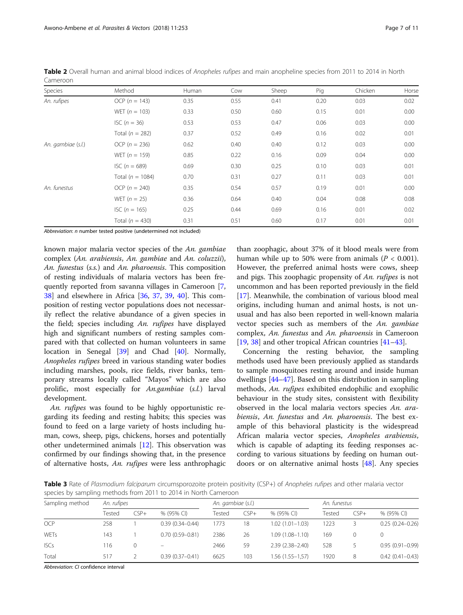| Species            | Method               | Human | Cow  | Sheep | Pig  | Chicken | Horse |
|--------------------|----------------------|-------|------|-------|------|---------|-------|
| An. rufipes        | OCP ( $n = 143$ )    | 0.35  | 0.55 | 0.41  | 0.20 | 0.03    | 0.02  |
|                    | WET ( $n = 103$ )    | 0.33  | 0.50 | 0.60  | 0.15 | 0.01    | 0.00  |
|                    | $ISC (n = 36)$       | 0.53  | 0.53 | 0.47  | 0.06 | 0.03    | 0.00  |
|                    | Total ( $n = 282$ )  | 0.37  | 0.52 | 0.49  | 0.16 | 0.02    | 0.01  |
| An. gambiae (s.l.) | OCP $(n = 236)$      | 0.62  | 0.40 | 0.40  | 0.12 | 0.03    | 0.00  |
|                    | WET ( $n = 159$ )    | 0.85  | 0.22 | 0.16  | 0.09 | 0.04    | 0.00  |
|                    | $ISC (n = 689)$      | 0.69  | 0.30 | 0.25  | 0.10 | 0.03    | 0.01  |
|                    | Total ( $n = 1084$ ) | 0.70  | 0.31 | 0.27  | 0.11 | 0.03    | 0.01  |
| An. funestus       | OCP $(n = 240)$      | 0.35  | 0.54 | 0.57  | 0.19 | 0.01    | 0.00  |
|                    | WET $(n = 25)$       | 0.36  | 0.64 | 0.40  | 0.04 | 0.08    | 0.08  |
|                    | ISC $(n = 165)$      | 0.25  | 0.44 | 0.69  | 0.16 | 0.01    | 0.02  |
|                    | Total ( $n = 430$ )  | 0.31  | 0.51 | 0.60  | 0.17 | 0.01    | 0.01  |

<span id="page-6-0"></span>Table 2 Overall human and animal blood indices of Anopheles rufipes and main anopheline species from 2011 to 2014 in North Cameroon

Abbreviation: n number tested positive (undetermined not included)

known major malaria vector species of the An. gambiae complex (An. arabiensis, An. gambiae and An. coluzzii), An. funestus (s.s.) and An. pharoensis. This composition of resting individuals of malaria vectors has been frequently reported from savanna villages in Cameroon [\[7](#page-9-0), [38\]](#page-9-0) and elsewhere in Africa [\[36](#page-9-0), [37](#page-9-0), [39](#page-10-0), [40\]](#page-10-0). This composition of resting vector populations does not necessarily reflect the relative abundance of a given species in the field; species including An. rufipes have displayed high and significant numbers of resting samples compared with that collected on human volunteers in same location in Senegal [\[39\]](#page-10-0) and Chad [[40](#page-10-0)]. Normally, Anopheles rufipes breed in various standing water bodies including marshes, pools, rice fields, river banks, temporary streams locally called "Mayos" which are also prolific, most especially for An.gambiae (s.l.) larval development.

An. rufipes was found to be highly opportunistic regarding its feeding and resting habits; this species was found to feed on a large variety of hosts including human, cows, sheep, pigs, chickens, horses and potentially other undetermined animals [\[12](#page-9-0)]. This observation was confirmed by our findings showing that, in the presence of alternative hosts, An. rufipes were less anthrophagic

than zoophagic, about 37% of it blood meals were from human while up to 50% were from animals ( $P < 0.001$ ). However, the preferred animal hosts were cows, sheep and pigs. This zoophagic propensity of An. rufipes is not uncommon and has been reported previously in the field [[17\]](#page-9-0). Meanwhile, the combination of various blood meal origins, including human and animal hosts, is not unusual and has also been reported in well-known malaria vector species such as members of the An. gambiae complex, An. funestus and An. pharoensis in Cameroon [[19,](#page-9-0) [38\]](#page-9-0) and other tropical African countries [\[41](#page-10-0)–[43](#page-10-0)].

Concerning the resting behavior, the sampling methods used have been previously applied as standards to sample mosquitoes resting around and inside human dwellings [[44](#page-10-0)–[47](#page-10-0)]. Based on this distribution in sampling methods, An. rufipes exhibited endophilic and exophilic behaviour in the study sites, consistent with flexibility observed in the local malaria vectors species An. arabiensis, An. funestus and An. pharoensis. The best example of this behavioral plasticity is the widespread African malaria vector species, Anopheles arabiensis, which is capable of adapting its feeding responses according to various situations by feeding on human outdoors or on alternative animal hosts  $[48]$  $[48]$ . Any species

Table 3 Rate of Plasmodium falciparum circumsporozoite protein positivity (CSP+) of Anopheles rufipes and other malaria vector species by sampling methods from 2011 to 2014 in North Cameroon

| Sampling method | An. rufipes |          |                     | An. gambiae (s.l.) |        |                     | An. funestus |        |                     |
|-----------------|-------------|----------|---------------------|--------------------|--------|---------------------|--------------|--------|---------------------|
|                 | Tested      | $CSP+$   | % (95% CI)          | Tested             | $CSP+$ | % (95% CI)          | Tested       | $CSP+$ | % (95% CI)          |
| <b>OCP</b>      | 258         |          | $0.39(0.34 - 0.44)$ | 1773               | 18     | $1.02(1.01 - 1.03)$ | 1223         |        | $0.25(0.24 - 0.26)$ |
| WETs            | 143         |          | $0.70(0.59 - 0.81)$ | 2386               | 26     | $1.09(1.08 - 1.10)$ | 169          | 0      |                     |
| <b>ISCs</b>     | 116         | $\Omega$ |                     | 2466               | 59     | $2.39(2.38 - 2.40)$ | 528          |        | $0.95(0.91 - 0.99)$ |
| Total           | 517         |          | $0.39(0.37 - 0.41)$ | 6625               | 103    | 1.56 (1.55-1,57)    | 1920         | 8      | $0.42(0.41 - 0.43)$ |

Abbreviation: CI confidence interval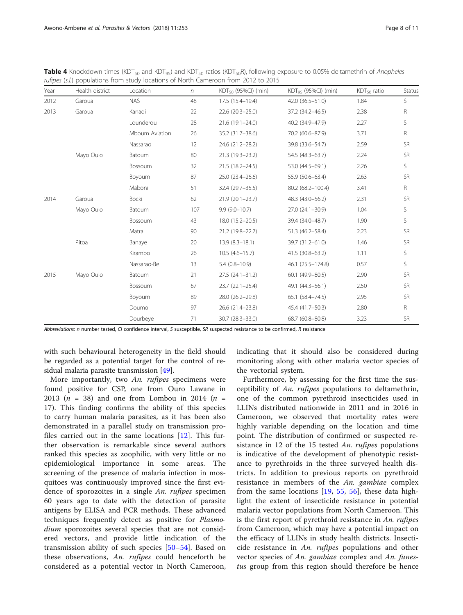<span id="page-7-0"></span>Table 4 Knockdown times (KDT<sub>50</sub> and KDT<sub>95</sub>) and KDT<sub>50</sub> ratios (KDT<sub>50</sub>R), following exposure to 0.05% deltamethrin of Anopheles rufipes (s.l.) populations from study locations of North Cameroon from 2012 to 2015

| Year | Health district | Location       | $\eta$ | KDT <sub>50</sub> (95%Cl) (min) | KDT <sub>95</sub> (95%Cl) (min) | $KDT50$ ratio | Status    |
|------|-----------------|----------------|--------|---------------------------------|---------------------------------|---------------|-----------|
| 2012 | Garoua          | <b>NAS</b>     | 48     | 17.5 (15.4-19.4)                | 42.0 (36.5-51.0)                | 1.84          | S         |
| 2013 | Garoua          | Kanadi         | 22     | $22.6(20.3-25.0)$               | 37.2 (34.2-46.5)                | 2.38          | R         |
|      |                 | Lounderou      | 28     | $21.6(19.1 - 24.0)$             | 40.2 (34.9-47.9)                | 2.27          | S         |
|      |                 | Mboum Aviation | 26     | 35.2 (31.7-38.6)                | 70.2 (60.6-87.9)                | 3.71          | R         |
|      |                 | Nassarao       | 12     | 24.6 (21.2-28.2)                | 39.8 (33.6-54.7)                | 2.59          | <b>SR</b> |
|      | Mayo Oulo       | Batoum         | 80     | 21.3 (19.3-23.2)                | 54.5 (48.3-63.7)                | 2.24          | <b>SR</b> |
|      |                 | Bossoum        | 32     | 21.5 (18.2-24.5)                | 53.0 (44.5-69.1)                | 2.26          | S         |
|      |                 | Boyoum         | 87     | 25.0 (23.4-26.6)                | 55.9 (50.6-63.4)                | 2.63          | <b>SR</b> |
|      |                 | Maboni         | 51     | 32.4 (29.7-35.5)                | 80.2 (68.2-100.4)               | 3.41          | R         |
| 2014 | Garoua          | Bocki          | 62     | $21.9(20.1 - 23.7)$             | 48.3 (43.0-56.2)                | 2.31          | <b>SR</b> |
|      | Mayo Oulo       | Batoum         | 107    | $9.9(9.0-10.7)$                 | 27.0 (24.1-30.9)                | 1.04          | S         |
|      |                 | Bossoum        | 43     | 18.0 (15.2-20.5)                | 39.4 (34.0-48.7)                | 1.90          | S         |
|      |                 | Matra          | 90     | 21.2 (19.8-22.7)                | 51.3 (46.2-58.4)                | 2.23          | <b>SR</b> |
|      | Pitoa           | Banaye         | 20     | $13.9(8.3 - 18.1)$              | 39.7 (31.2-61.0)                | 1.46          | <b>SR</b> |
|      |                 | Kirambo        | 26     | $10.5(4.6 - 15.7)$              | 41.5 (30.8-63.2)                | 1.11          | S         |
|      |                 | Nassarao-Be    | 13     | $5.4(0.8-10.9)$                 | 46.1 (25.5-174.8)               | 0.57          | S         |
| 2015 | Mayo Oulo       | Batoum         | 21     | $27.5(24.1-31.2)$               | 60.1 (49.9-80.5)                | 2.90          | <b>SR</b> |
|      |                 | Bossoum        | 67     | $23.7(22.1 - 25.4)$             | 49.1 (44.3-56.1)                | 2.50          | <b>SR</b> |
|      |                 | Boyoum         | 89     | 28.0 (26.2-29.8)                | 65.1 (58.4-74.5)                | 2.95          | <b>SR</b> |
|      |                 | Doumo          | 97     | 26.6 (21.4-23.8)                | 45.4 (41.7-50.3)                | 2.80          | R         |
|      |                 | Dourbeye       | 71     | 30.7 (28.3-33.0)                | 68.7 (60.8-80.8)                | 3.23          | <b>SR</b> |

Abbreviations: n number tested, CI confidence interval, S susceptible, SR suspected resistance to be confirmed, R resistance

with such behavioural heterogeneity in the field should be regarded as a potential target for the control of residual malaria parasite transmission [\[49](#page-10-0)].

More importantly, two An. rufipes specimens were found positive for CSP, one from Ouro Lawane in 2013 ( $n = 38$ ) and one from Lombou in 2014 ( $n =$ 17). This finding confirms the ability of this species to carry human malaria parasites, as it has been also demonstrated in a parallel study on transmission profiles carried out in the same locations [[12\]](#page-9-0). This further observation is remarkable since several authors ranked this species as zoophilic, with very little or no epidemiological importance in some areas. The screening of the presence of malaria infection in mosquitoes was continuously improved since the first evidence of sporozoites in a single An. rufipes specimen 60 years ago to date with the detection of parasite antigens by ELISA and PCR methods. These advanced techniques frequently detect as positive for Plasmodium sporozoites several species that are not considered vectors, and provide little indication of the transmission ability of such species [[50](#page-10-0)–[54\]](#page-10-0). Based on these observations, An. *rufipes* could henceforth be considered as a potential vector in North Cameroon, indicating that it should also be considered during monitoring along with other malaria vector species of the vectorial system.

Furthermore, by assessing for the first time the susceptibility of An. rufipes populations to deltamethrin, one of the common pyrethroid insecticides used in LLINs distributed nationwide in 2011 and in 2016 in Cameroon, we observed that mortality rates were highly variable depending on the location and time point. The distribution of confirmed or suspected resistance in 12 of the 15 tested An. rufipes populations is indicative of the development of phenotypic resistance to pyrethroids in the three surveyed health districts. In addition to previous reports on pyrethroid resistance in members of the An. gambiae complex from the same locations [[19,](#page-9-0) [55](#page-10-0), [56\]](#page-10-0), these data highlight the extent of insecticide resistance in potential malaria vector populations from North Cameroon. This is the first report of pyrethroid resistance in An. rufipes from Cameroon, which may have a potential impact on the efficacy of LLINs in study health districts. Insecticide resistance in  $An.$  rufipes populations and other vector species of An. gambiae complex and An. funestus group from this region should therefore be hence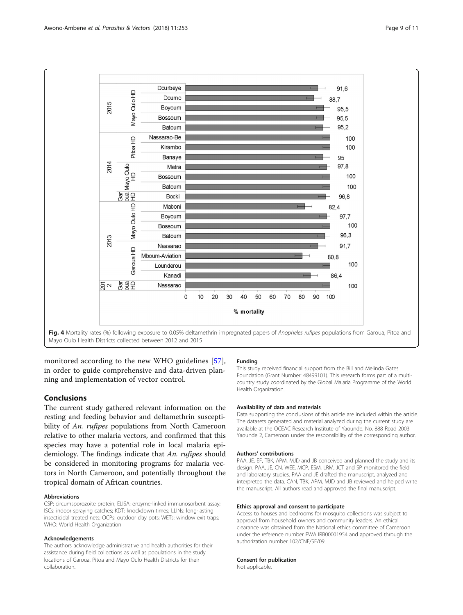<span id="page-8-0"></span>

monitored according to the new WHO guidelines [[57](#page-10-0)], in order to guide comprehensive and data-driven planning and implementation of vector control.

## Conclusions

The current study gathered relevant information on the resting and feeding behavior and deltamethrin susceptibility of An. *rufipes* populations from North Cameroon relative to other malaria vectors, and confirmed that this species may have a potential role in local malaria epidemiology. The findings indicate that An. rufipes should be considered in monitoring programs for malaria vectors in North Cameroon, and potentially throughout the tropical domain of African countries.

## Abbreviations

CSP: circumsporozoite protein; ELISA: enzyme-linked immunosorbent assay; ISCs: indoor spraying catches; KDT: knockdown times; LLINs: long-lasting insecticidal treated nets; OCPs: outdoor clay pots; WETs: window exit traps; WHO: World Health Organization

#### Acknowledgements

The authors acknowledge administrative and health authorities for their assistance during field collections as well as populations in the study locations of Garoua, Pitoa and Mayo Oulo Health Districts for their collaboration.

#### Funding

This study received financial support from the Bill and Melinda Gates Foundation (Grant Number: 48499101). This research forms part of a multicountry study coordinated by the Global Malaria Programme of the World Health Organization.

#### Availability of data and materials

Data supporting the conclusions of this article are included within the article. The datasets generated and material analyzed during the current study are available at the OCEAC Research Institute of Yaounde, No. 888 Road 2003 Yaounde 2, Cameroon under the responsibility of the corresponding author.

### Authors' contributions

PAA, JE, EF, TBK, APM, MJD and JB conceived and planned the study and its design. PAA, JE, CN, WEE, MCP, ESM, LRM, JCT and SP monitored the field and laboratory studies. PAA and JE drafted the manuscript, analyzed and interpreted the data. CAN, TBK, APM, MJD and JB reviewed and helped write the manuscript. All authors read and approved the final manuscript.

#### Ethics approval and consent to participate

Access to houses and bedrooms for mosquito collections was subject to approval from household owners and community leaders. An ethical clearance was obtained from the National ethics committee of Cameroon under the reference number FWA IRB00001954 and approved through the authorization number 102/CNE/SE/09.

#### Consent for publication

Not applicable.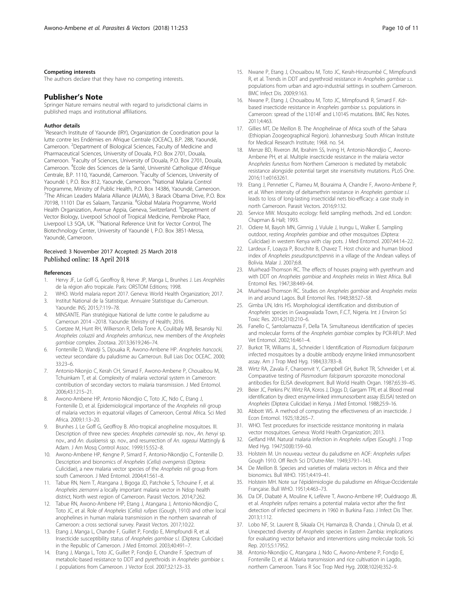#### <span id="page-9-0"></span>Competing interests

The authors declare that they have no competing interests.

### Publisher's Note

Springer Nature remains neutral with regard to jurisdictional claims in published maps and institutional affiliations.

#### Author details

<sup>1</sup>Research Institute of Yaounde (IRY), Organization de Coordination pour la lutte contre les Endémies en Afrique Centrale (OCEAC), B.P. 288, Yaoundé, Cameroon. <sup>2</sup>Department of Biological Sciences, Faculty of Medicine and Pharmaceutical Sciences, University of Douala, P.O. Box 2701, Douala, Cameroon. <sup>3</sup>Faculty of Sciences, University of Douala, P.O. Box 2701, Douala, Cameroon. <sup>4</sup> Ecole des Sciences de la Santé, Université Catholique d'Afrique Centrale, B.P. 1110, Yaoundé, Cameroon. <sup>5</sup>Faculty of Sciences, University of Yaoundé I, P.O. Box 812, Yaounde, Cameroon. <sup>6</sup>National Malaria Control Programme, Ministry of Public Health, P.O. Box 14386, Yaoundé, Cameroon. 7 The African Leaders Malaria Alliance (ALMA), 3 Barack Obama Drive, P.O. Box 70198, 11101 Dar es Salaam, Tanzania. <sup>8</sup>Global Malaria Programme, World Health Organization, Avenue Appia, Geneva, Switzerland. <sup>9</sup>Department of Vector Biology, Liverpool School of Tropical Medicine, Pembroke Place, Liverpool L3 5QA, UK. <sup>10</sup>National Reference Unit for Vector Control, The Biotechnology Center, University of Yaoundé I, P.O. Box 3851-Messa, Yaoundé, Cameroon.

### Received: 3 November 2017 Accepted: 25 March 2018 Published online: 18 April 2018

#### References

- 1. Hervy JF, Le Goff G, Geoffroy B, Herve JP, Manga L, Brunhes J. Les Anophèles de la région afro tropicale. Paris: ORSTOM Editions; 1998.
- 2. WHO. World malaria report 2017. Geneva: World Health Organization; 2017.
- 3. Institut National de la Statistique. Annuaire Statistique du Cameroun. Yaounde: INS; 2015;7:119–78.
- 4. MINSANTE. Plan stratégique National de lutte contre le paludisme au Cameroun 2014 –2018. Yaounde: Ministry of Health; 2016.
- 5. Coetzee M, Hunt RH, Wilkerson R, Della Torre A, Coulibaly MB, Besansky NJ. Anopheles coluzzii and Anopheles amharicus, new members of the Anopheles gambiae complex. Zootaxa. 2013;3619:246–74.
- 6. Fontenille D, Wandji S, Djouaka R, Awono-Ambene HP. Anopheles hancocki, vecteur secondaire du paludisme au Cameroun. Bull Liais Doc OCEAC. 2000; 33:23–6.
- 7. Antonio-Nkonjio C, Kerah CH, Simard F, Awono-Ambene P, Chouaibou M, Tchuinkam T, et al. Complexity of malaria vectorial system in Cameroon: contribution of secondary vectors to malaria transmission. J Med Entomol. 2006;43:1215–21.
- Awono-Ambene HP, Antonio Nkondjio C, Toto JC, Ndo C, Etang J, Fontenille D, et al. Epidemiological importance of the Anopheles nili group of malaria vectors in equatorial villages of Cameroon, Central Africa. Sci Med Africa. 2009;1:13–20.
- Brunhes J, Le Goff G, Geoffroy B. Afro-tropical anopheline mosquitoes. III. Description of three new species: Anopheles carnevalei sp. nov., An. hervyi sp. nov., and An. dualaensis sp. nov., and resurrection of An. rageaui Mattingly & Adam. J Am Mosq Control Assoc. 1999;15:552–8.
- 10. Awono-Ambene HP, Kengne P, Simard F, Antonio-Nkondjio C, Fontenille D. Description and bionomics of Anopheles (Cellia) ovengensis (Diptera: Culicidae), a new malaria vector species of the Anopheles nili group from south Cameroon. J Med Entomol. 2004;41:561–8.
- 11. Tabue RN, Nem T, Atangana J, Bigoga JD, Patchoke S, Tchouine F, et al. Anopheles ziemanni a locally important malaria vector in Ndop health district, North west region of Cameroon. Parasit Vectors. 2014;7:262.
- 12. Tabue RN, Awono-Ambene HP, Etang J, Atangana J, Antonio-Nkondjio C, Toto JC, et al. Role of Anopheles (Cellia) rufipes (Gough, 1910) and other local anophelines in human malaria transmission in the northern savannah of Cameroon: a cross sectional survey. Parasit Vectors. 2017;10:22.
- 13. Etang J, Manga L, Chandre F, Guillet P, Fondjo E, Mimpfoundi R, et al. Insecticide susceptibility status of Anopheles gambiae s.l. (Diptera: Culicidae) in the Republic of Cameroon. J Med Entomol. 2003;40:491–7.
- 14. Etang J, Manga L, Toto JC, Guillet P, Fondjo E, Chandre F. Spectrum of metabolic-based resistance to DDT and pyrethroids in Anopheles gambiae s. l. populations from Cameroon. J Vector Ecol. 2007;32:123–33.
- 15. Nwane P, Etang J, Chouaibou M, Toto JC, Kerah-Hinzoumbé C, Mimpfoundi R, et al. Trends in DDT and pyrethroid resistance in Anopheles gambiae s.s. populations from urban and agro-industrial settings in southern Cameroon. BMC Infect Dis. 2009;9:163.
- 16. Nwane P, Etang J, Chouaibou M, Toto JC, Mimpfoundi R, Simard F. Kdrbased insecticide resistance in Anopheles gambiae s.s. populations in Cameroon: spread of the L1014F and L1014S mutations. BMC Res Notes. 2011;4:463.
- 17. Gillies MT, De Meillon B. The Anophelinae of Africa south of the Sahara (Ethiopian Zoogeographical Region). Johannesburg: South African Institute for Medical Research Institute; 1968. no. 54.
- 18. Menze BD, Riveron JM, Ibrahim SS, Irving H, Antonio-Nkondjio C, Awono-Ambene PH, et al. Multiple insecticide resistance in the malaria vector Anopheles funestus from Northern Cameroon is mediated by metabolic resistance alongside potential target site insensitivity mutations. PLoS One. 2016;11:e0163261.
- 19. Etang J, Pennetier C, Piameu M, Bouraima A, Chandre F, Awono-Ambene P, et al. When intensity of deltamethrin resistance in Anopheles gambiae s.l. leads to loss of long-lasting insecticidal nets bio-efficacy: a case study in north Cameroon. Parasit Vectors. 2016;9:132.
- 20. Service MW. Mosquito ecology: field sampling methods. 2nd ed. London: Chanman & Hall: 1993.
- 21. Odiere M, Bayoh MN, Gimnig J, Vulule J, Irungu L, Walker E. Sampling outdoor, resting Anopheles gambiae and other mosquitoes (Diptera: Culicidae) in western Kenya with clay pots. J Med Entomol. 2007;44:14–22.
- 22. Lardeux F, Loayza P, Bouchite B, Chavez T, Host choice and human blood index of Anopheles pseudopunctipennis in a village of the Andean valleys of Bolivia. Malar J. 2007;6:8.
- 23. Muirhead-Thomson RC. The effects of houses praying with pyrethrum and with DDT on Anopheles gambiae and Anopheles melas in West Africa. Bull Entomol Res. 1947;38:449–64.
- 24. Muirhead-Thomson RC. Studies on Anopheles gambiae and Anopheles melas in and around Lagos. Bull Entomol Res. 1948;38:527–58.
- 25. Gimba UN, Idris HS. Morphological identification and distribution of Anopheles species in Gwagwalada Town, F.C.T, Nigeria. Int J Environ Sci Toxic Res. 2014;2(10):210–6.
- 26. Fanello C, Santolamazza F, Della TA. Simultaneous identification of species and molecular forms of the Anopheles gambiae complex by PCR-RFLP. Med Vet Entomol. 2002;16:461–4.
- 27. Burkot TR, Williams JL, Schneider I. Identification of Plasmodium falciparum infected mosquitoes by a double antibody enzyme linked immunosorbent assay. Am J Trop Med Hyg. 1984;33:783–8.
- Wirtz RA, Zavala F, Charoenvit Y, Campbell GH, Burkot TR, Schneider I, et al. Comparative testing of Plasmodium falciparum sporozoite monoclonal antibodies for ELISA development. Bull World Health Organ. 1987;65:39–45.
- 29. Beier JC, Perkins PV, Wirtz RA, Koros J, Diggs D, Gargam TPII, et al. Blood meal identification by direct enzyme-linked immunosorbent assay (ELISA) tested on Anopheles (Diptera: Culicidae) in Kenya. J Med Entomol. 1988;25:9–16.
- 30. Abbott WS. A method of computing the effectiveness of an insecticide. J Econ Entomol. 1925;18:265–7.
- 31. WHO. Test procedures for insecticide resistance monitoring in malaria vector mosquitoes. Geneva: World Health Organization; 2013.
- 32. Gelfand HM. Natural malaria infection in Anopheles rufipes (Gough). J Trop Med Hyg. 1947;50(8):159–60.
- 33. Holstein M. Un nouveau vecteur du paludisme en AOF: Anopheles rufipes Gough 1910. Off Rech Sci D'Outre-Mer. 1949;379:1–143.
- 34. De Meillon B. Species and varieties of malaria vectors in Africa and their bionomics. Bull WHO. 1951;4:419–41.
- 35. Holstein MH. Note sur l'épidémiologie du paludisme en Afrique-Occidentale Française. Bull WHO. 1951;4:463–73.
- 36. Da DF, Diabaté A, Mouline K, Lefèvre T, Awono-Ambene HP, Ouédraogo JB, et al. Anopheles rufipes remains a potential malaria vector after the first detection of infected specimens in 1960 in Burkina Faso. J Infect Dis Ther. 2013;1:112.
- 37. Lobo NF, St. Laurent B, Sikaala CH, Hamainza B, Chanda J, Chinula D, et al. Unexpected diversity of Anopheles species in Eastern Zambia: implications for evaluating vector behavior and interventions using molecular tools. Sci Rep. 2015;5:17952.
- 38. Antonio-Nkondjio C, Atangana J, Ndo C, Awono-Ambene P, Fondjo E, Fontenille D, et al. Malaria transmission and rice cultivation in Lagdo, northern Cameroon. Trans R Soc Trop Med Hyg. 2008;102(4):352–9.